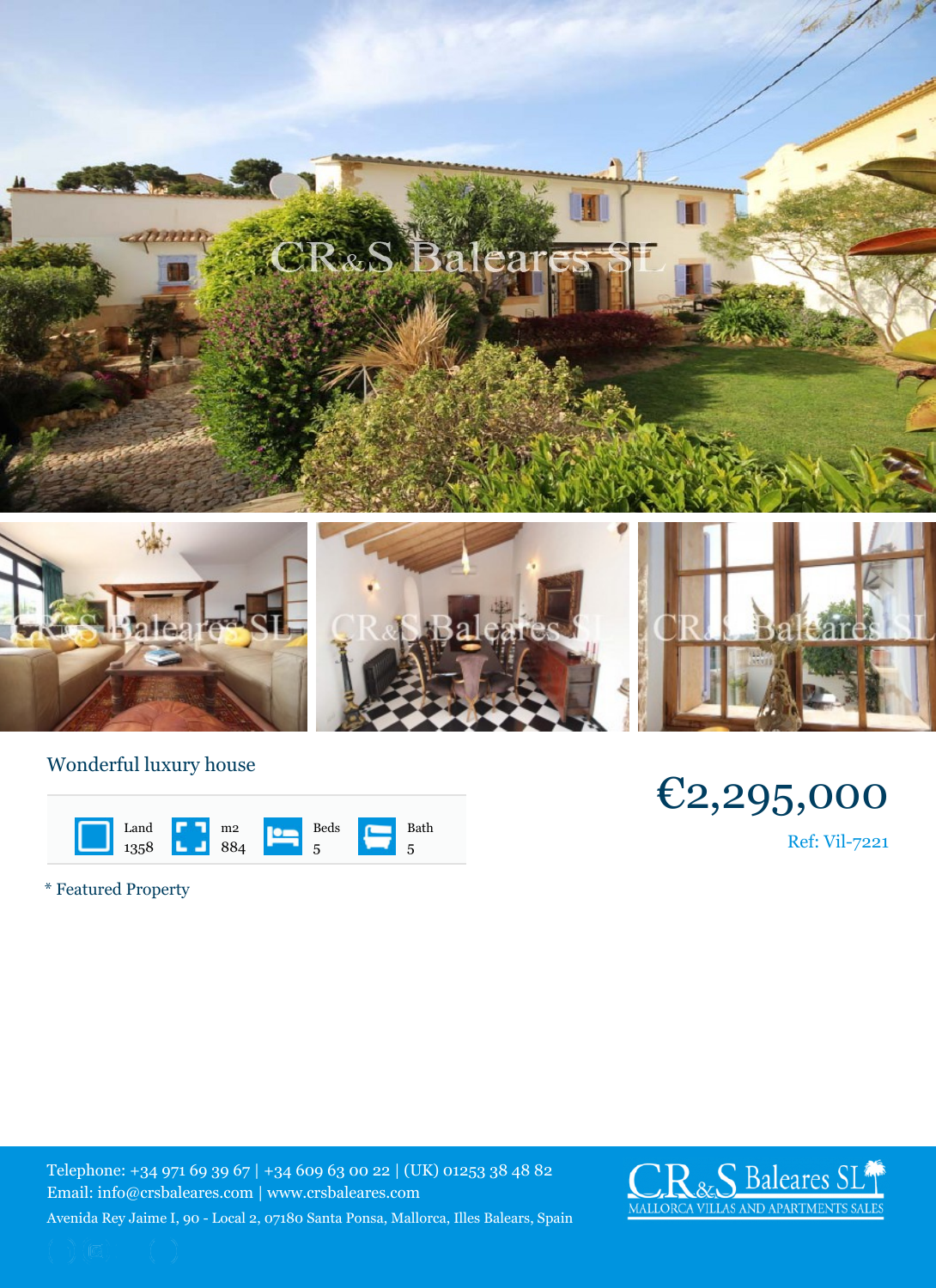## Wonderful luxury house

| Land | m <sub>2</sub> | Beds | Bath |
|------|----------------|------|------|
| 1358 | 884            | 5    | 5    |

\* Featured Property

Telephone: +34 971 69 39 67 | +34 609 63 00 22 | (UK) 012 Email: info@crsbaleares.com | www.crsbaleares.com Avenida Rey Jaime I, 90 - Local 2, 07180 Santa Ponsa, Mallorca, I

 $\neg$  2